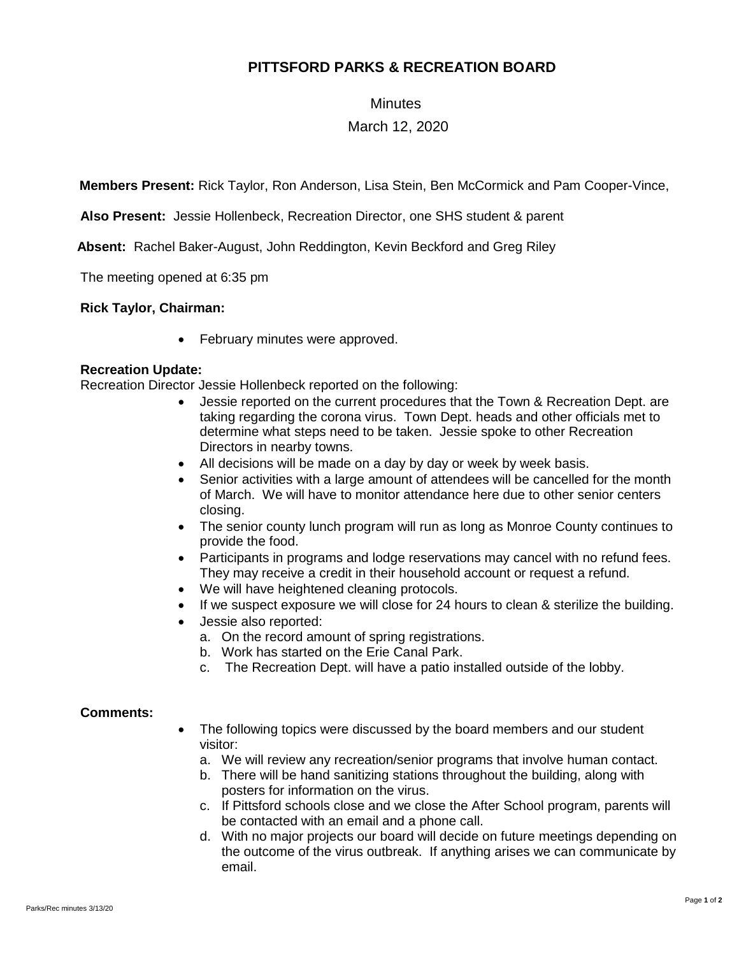# **PITTSFORD PARKS & RECREATION BOARD**

### **Minutes**

## March 12, 2020

**Members Present:** Rick Taylor, Ron Anderson, Lisa Stein, Ben McCormick and Pam Cooper-Vince,

**Also Present:** Jessie Hollenbeck, Recreation Director, one SHS student & parent

 **Absent:** Rachel Baker-August, John Reddington, Kevin Beckford and Greg Riley

The meeting opened at 6:35 pm

#### **Rick Taylor, Chairman:**

• February minutes were approved.

#### **Recreation Update:**

Recreation Director Jessie Hollenbeck reported on the following:

- Jessie reported on the current procedures that the Town & Recreation Dept. are taking regarding the corona virus. Town Dept. heads and other officials met to determine what steps need to be taken. Jessie spoke to other Recreation Directors in nearby towns.
- All decisions will be made on a day by day or week by week basis.
- Senior activities with a large amount of attendees will be cancelled for the month of March. We will have to monitor attendance here due to other senior centers closing.
- The senior county lunch program will run as long as Monroe County continues to provide the food.
- Participants in programs and lodge reservations may cancel with no refund fees. They may receive a credit in their household account or request a refund.
- We will have heightened cleaning protocols.
- If we suspect exposure we will close for 24 hours to clean & sterilize the building.
- Jessie also reported:
	- a. On the record amount of spring registrations.
	- b. Work has started on the Erie Canal Park.
	- c. The Recreation Dept. will have a patio installed outside of the lobby.

#### **Comments:**

- The following topics were discussed by the board members and our student visitor:
	- a. We will review any recreation/senior programs that involve human contact.
	- b. There will be hand sanitizing stations throughout the building, along with posters for information on the virus.
	- c. If Pittsford schools close and we close the After School program, parents will be contacted with an email and a phone call.
	- d. With no major projects our board will decide on future meetings depending on the outcome of the virus outbreak. If anything arises we can communicate by email.